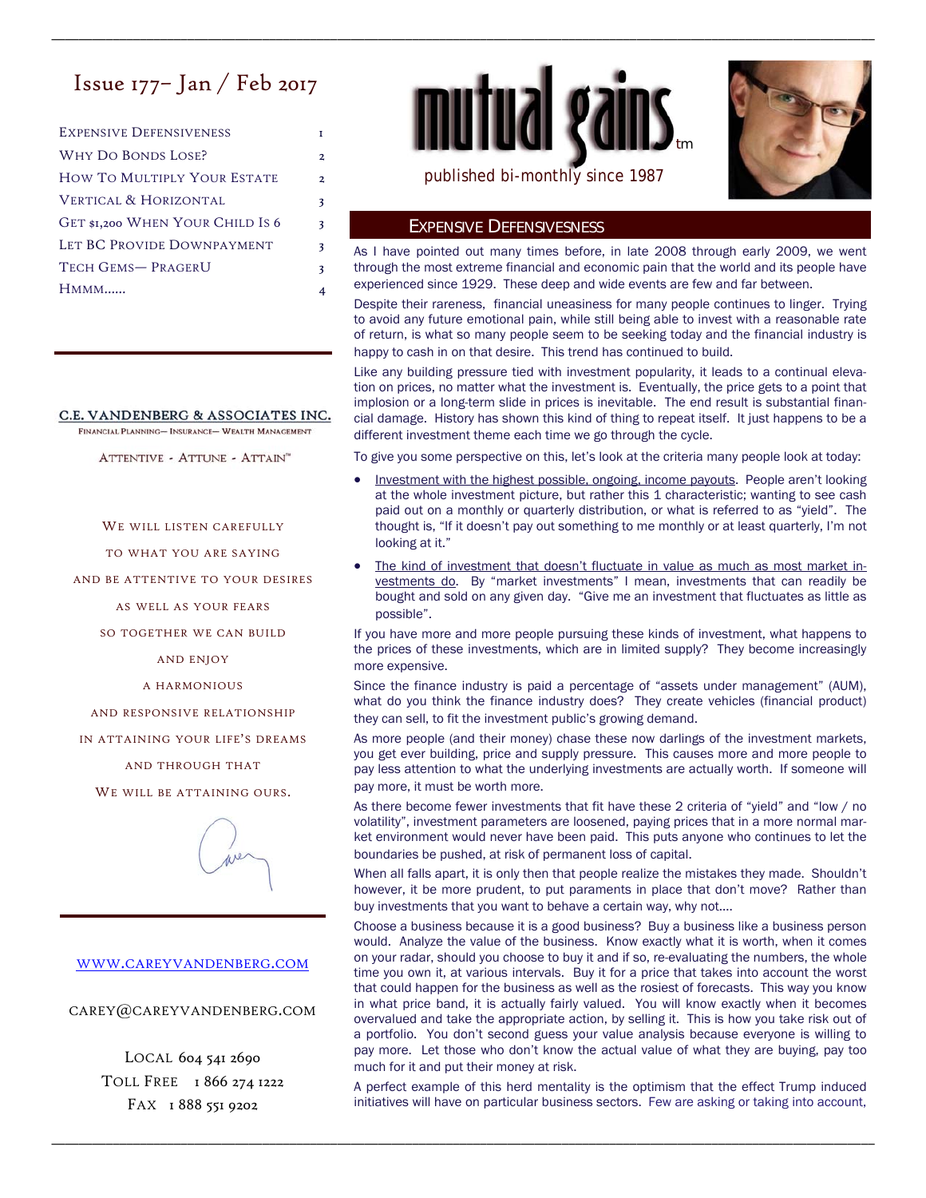# Issue 177– Jan / Feb 2017

| <b>EXPENSIVE DEFENSIVENESS</b>   |                |
|----------------------------------|----------------|
| <b>WHY DO BONDS LOSE?</b>        | 2              |
| HOW TO MULTIPLY YOUR ESTATE      | $\overline{2}$ |
| VERTICAL & HORIZONTAL            | 3              |
| GET \$1,200 WHEN YOUR CHILD IS 6 | 3              |
| LET BC PROVIDE DOWNPAYMENT       | 3              |
| TECH GEMS-PRAGERU                | 3              |
| $HMMM$                           |                |

## C.E. VANDENBERG & ASSOCIATES INC.

FINANCIAL PLANNING-INSURANCE- WEALTH MANAGEMENT

ATTENTIVE - ATTUNE - ATTAIN"

WE WILL LISTEN CAREFULLY

TO WHAT YOU ARE SAYING

AND BE ATTENTIVE TO YOUR DESIRES

AS WELL AS YOUR FEARS

SO TOGETHER WE CAN BUILD

AND ENJOY

A HARMONIOUS

AND RESPONSIVE RELATIONSHIP

IN ATTAINING YOUR LIFE'S DREAMS

AND THROUGH THAT

WE WILL BE ATTAINING OURS.



#### WWW.CAREYVANDENBERG.COM

CAREY@CAREYVANDENBERG.COM

LOCAL 604 541 2690 TOLL FREE 1866 274 1222 FAX 1 888 551 9202





### EXPENSIVE DEFENSIVESNESS

\_\_\_\_\_\_\_\_\_\_\_\_\_\_\_\_\_\_\_\_\_\_\_\_\_\_\_\_\_\_\_\_\_\_\_\_\_\_\_\_\_\_\_\_\_\_\_\_\_\_\_\_\_\_\_\_\_\_\_\_\_\_\_\_\_\_\_\_\_\_\_\_\_\_\_\_\_\_\_\_\_\_\_\_\_\_\_\_\_\_\_\_\_\_\_\_\_\_\_\_\_\_\_\_\_\_\_\_\_\_\_\_\_\_\_\_\_\_\_\_\_

As I have pointed out many times before, in late 2008 through early 2009, we went through the most extreme financial and economic pain that the world and its people have experienced since 1929. These deep and wide events are few and far between.

Despite their rareness, financial uneasiness for many people continues to linger. Trying to avoid any future emotional pain, while still being able to invest with a reasonable rate of return, is what so many people seem to be seeking today and the financial industry is happy to cash in on that desire. This trend has continued to build.

Like any building pressure tied with investment popularity, it leads to a continual elevation on prices, no matter what the investment is. Eventually, the price gets to a point that implosion or a long-term slide in prices is inevitable. The end result is substantial financial damage. History has shown this kind of thing to repeat itself. It just happens to be a different investment theme each time we go through the cycle.

To give you some perspective on this, let's look at the criteria many people look at today:

- Investment with the highest possible, ongoing, income payouts. People aren't looking at the whole investment picture, but rather this 1 characteristic; wanting to see cash paid out on a monthly or quarterly distribution, or what is referred to as "yield". The thought is, "If it doesn't pay out something to me monthly or at least quarterly, I'm not looking at it."
- The kind of investment that doesn't fluctuate in value as much as most market investments do. By "market investments" I mean, investments that can readily be bought and sold on any given day. "Give me an investment that fluctuates as little as possible".

If you have more and more people pursuing these kinds of investment, what happens to the prices of these investments, which are in limited supply? They become increasingly more expensive.

Since the finance industry is paid a percentage of "assets under management" (AUM), what do you think the finance industry does? They create vehicles (financial product) they can sell, to fit the investment public's growing demand.

As more people (and their money) chase these now darlings of the investment markets, you get ever building, price and supply pressure. This causes more and more people to pay less attention to what the underlying investments are actually worth. If someone will pay more, it must be worth more.

As there become fewer investments that fit have these 2 criteria of "yield" and "low / no volatility", investment parameters are loosened, paying prices that in a more normal market environment would never have been paid. This puts anyone who continues to let the boundaries be pushed, at risk of permanent loss of capital.

When all falls apart, it is only then that people realize the mistakes they made. Shouldn't however, it be more prudent, to put paraments in place that don't move? Rather than buy investments that you want to behave a certain way, why not….

Choose a business because it is a good business? Buy a business like a business person would. Analyze the value of the business. Know exactly what it is worth, when it comes on your radar, should you choose to buy it and if so, re-evaluating the numbers, the whole time you own it, at various intervals. Buy it for a price that takes into account the worst that could happen for the business as well as the rosiest of forecasts. This way you know in what price band, it is actually fairly valued. You will know exactly when it becomes overvalued and take the appropriate action, by selling it. This is how you take risk out of a portfolio. You don't second guess your value analysis because everyone is willing to pay more. Let those who don't know the actual value of what they are buying, pay too much for it and put their money at risk.

A perfect example of this herd mentality is the optimism that the effect Trump induced initiatives will have on particular business sectors. Few are asking or taking into account,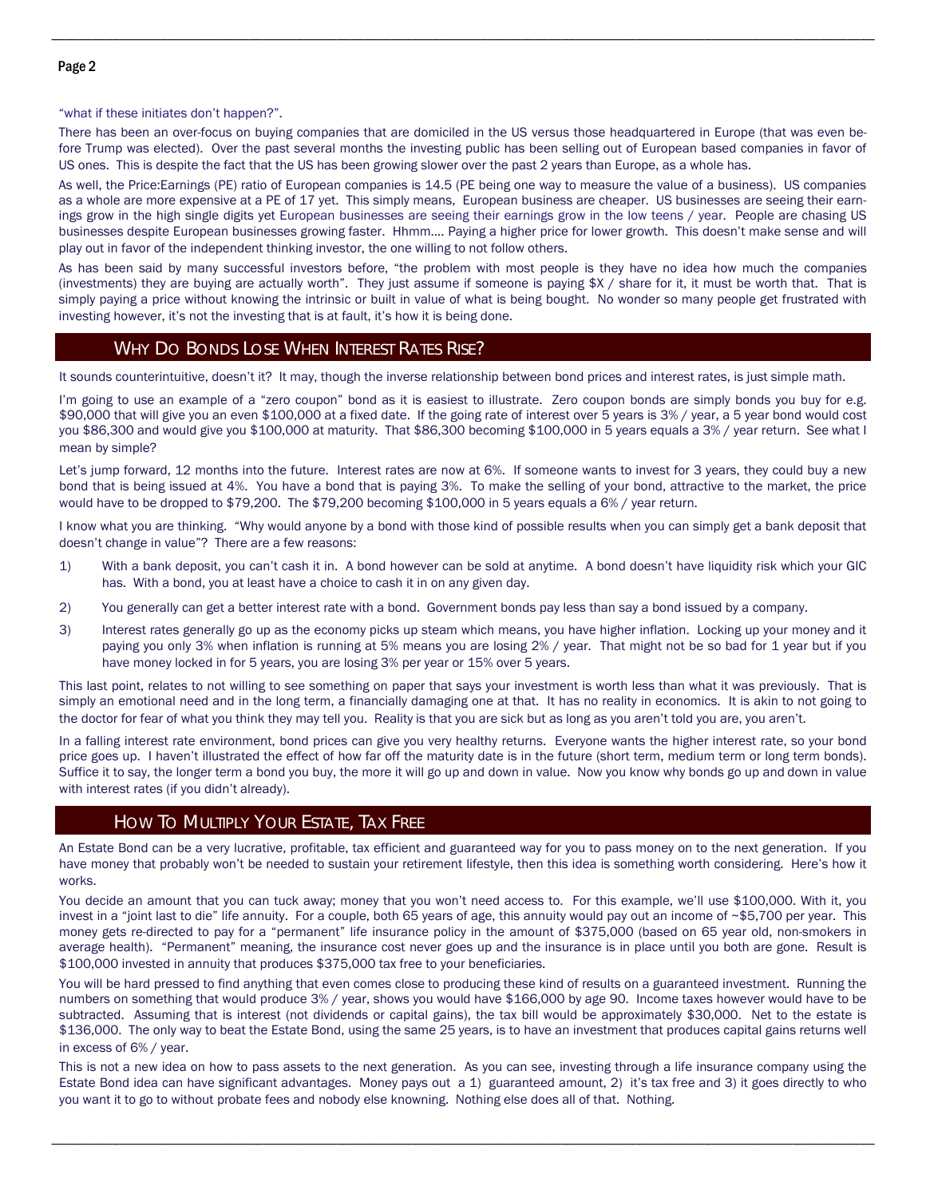"what if these initiates don't happen?".

There has been an over-focus on buying companies that are domiciled in the US versus those headquartered in Europe (that was even before Trump was elected). Over the past several months the investing public has been selling out of European based companies in favor of US ones. This is despite the fact that the US has been growing slower over the past 2 years than Europe, as a whole has.

\_\_\_\_\_\_\_\_\_\_\_\_\_\_\_\_\_\_\_\_\_\_\_\_\_\_\_\_\_\_\_\_\_\_\_\_\_\_\_\_\_\_\_\_\_\_\_\_\_\_\_\_\_\_\_\_\_\_\_\_\_\_\_\_\_\_\_\_\_\_\_\_\_\_\_\_\_\_\_\_\_\_\_\_\_\_\_\_\_\_\_\_\_\_\_\_\_\_\_\_\_\_\_\_\_\_\_\_\_\_\_\_\_\_\_\_\_\_\_\_\_

As well, the Price:Earnings (PE) ratio of European companies is 14.5 (PE being one way to measure the value of a business). US companies as a whole are more expensive at a PE of 17 yet. This simply means, European business are cheaper. US businesses are seeing their earnings grow in the high single digits yet European businesses are seeing their earnings grow in the low teens / year. People are chasing US businesses despite European businesses growing faster. Hhmm…. Paying a higher price for lower growth. This doesn't make sense and will play out in favor of the independent thinking investor, the one willing to not follow others.

As has been said by many successful investors before, "the problem with most people is they have no idea how much the companies (investments) they are buying are actually worth". They just assume if someone is paying \$X / share for it, it must be worth that. That is simply paying a price without knowing the intrinsic or built in value of what is being bought. No wonder so many people get frustrated with investing however, it's not the investing that is at fault, it's how it is being done.

#### WHY DO BONDS LOSE WHEN INTEREST RATES RISE?

It sounds counterintuitive, doesn't it? It may, though the inverse relationship between bond prices and interest rates, is just simple math.

I'm going to use an example of a "zero coupon" bond as it is easiest to illustrate. Zero coupon bonds are simply bonds you buy for e.g. \$90,000 that will give you an even \$100,000 at a fixed date. If the going rate of interest over 5 years is 3% / year, a 5 year bond would cost you \$86,300 and would give you \$100,000 at maturity. That \$86,300 becoming \$100,000 in 5 years equals a 3% / year return. See what I mean by simple?

Let's jump forward, 12 months into the future. Interest rates are now at 6%. If someone wants to invest for 3 years, they could buy a new bond that is being issued at 4%. You have a bond that is paying 3%. To make the selling of your bond, attractive to the market, the price would have to be dropped to \$79,200. The \$79,200 becoming \$100,000 in 5 years equals a 6% / year return.

I know what you are thinking. "Why would anyone by a bond with those kind of possible results when you can simply get a bank deposit that doesn't change in value"? There are a few reasons:

- 1) With a bank deposit, you can't cash it in. A bond however can be sold at anytime. A bond doesn't have liquidity risk which your GIC has. With a bond, you at least have a choice to cash it in on any given day.
- 2) You generally can get a better interest rate with a bond. Government bonds pay less than say a bond issued by a company.
- 3) Interest rates generally go up as the economy picks up steam which means, you have higher inflation. Locking up your money and it paying you only 3% when inflation is running at 5% means you are losing 2% / year. That might not be so bad for 1 year but if you have money locked in for 5 years, you are losing 3% per year or 15% over 5 years.

This last point, relates to not willing to see something on paper that says your investment is worth less than what it was previously. That is simply an emotional need and in the long term, a financially damaging one at that. It has no reality in economics. It is akin to not going to the doctor for fear of what you think they may tell you. Reality is that you are sick but as long as you aren't told you are, you aren't.

In a falling interest rate environment, bond prices can give you very healthy returns. Everyone wants the higher interest rate, so your bond price goes up. I haven't illustrated the effect of how far off the maturity date is in the future (short term, medium term or long term bonds). Suffice it to say, the longer term a bond you buy, the more it will go up and down in value. Now you know why bonds go up and down in value with interest rates (if you didn't already).

# HOW TO MULTIPLY YOUR ESTATE, TAX FREE

An Estate Bond can be a very lucrative, profitable, tax efficient and guaranteed way for you to pass money on to the next generation. If you have money that probably won't be needed to sustain your retirement lifestyle, then this idea is something worth considering. Here's how it works.

You decide an amount that you can tuck away; money that you won't need access to. For this example, we'll use \$100,000. With it, you invest in a "joint last to die" life annuity. For a couple, both 65 years of age, this annuity would pay out an income of ~\$5,700 per year. This money gets re-directed to pay for a "permanent" life insurance policy in the amount of \$375,000 (based on 65 year old, non-smokers in average health). "Permanent" meaning, the insurance cost never goes up and the insurance is in place until you both are gone. Result is \$100,000 invested in annuity that produces \$375,000 tax free to your beneficiaries.

You will be hard pressed to find anything that even comes close to producing these kind of results on a guaranteed investment. Running the numbers on something that would produce 3% / year, shows you would have \$166,000 by age 90. Income taxes however would have to be subtracted. Assuming that is interest (not dividends or capital gains), the tax bill would be approximately \$30,000. Net to the estate is \$136,000. The only way to beat the Estate Bond, using the same 25 years, is to have an investment that produces capital gains returns well in excess of 6% / year.

This is not a new idea on how to pass assets to the next generation. As you can see, investing through a life insurance company using the Estate Bond idea can have significant advantages. Money pays out a 1) guaranteed amount, 2) it's tax free and 3) it goes directly to who you want it to go to without probate fees and nobody else knowning. Nothing else does all of that. Nothing.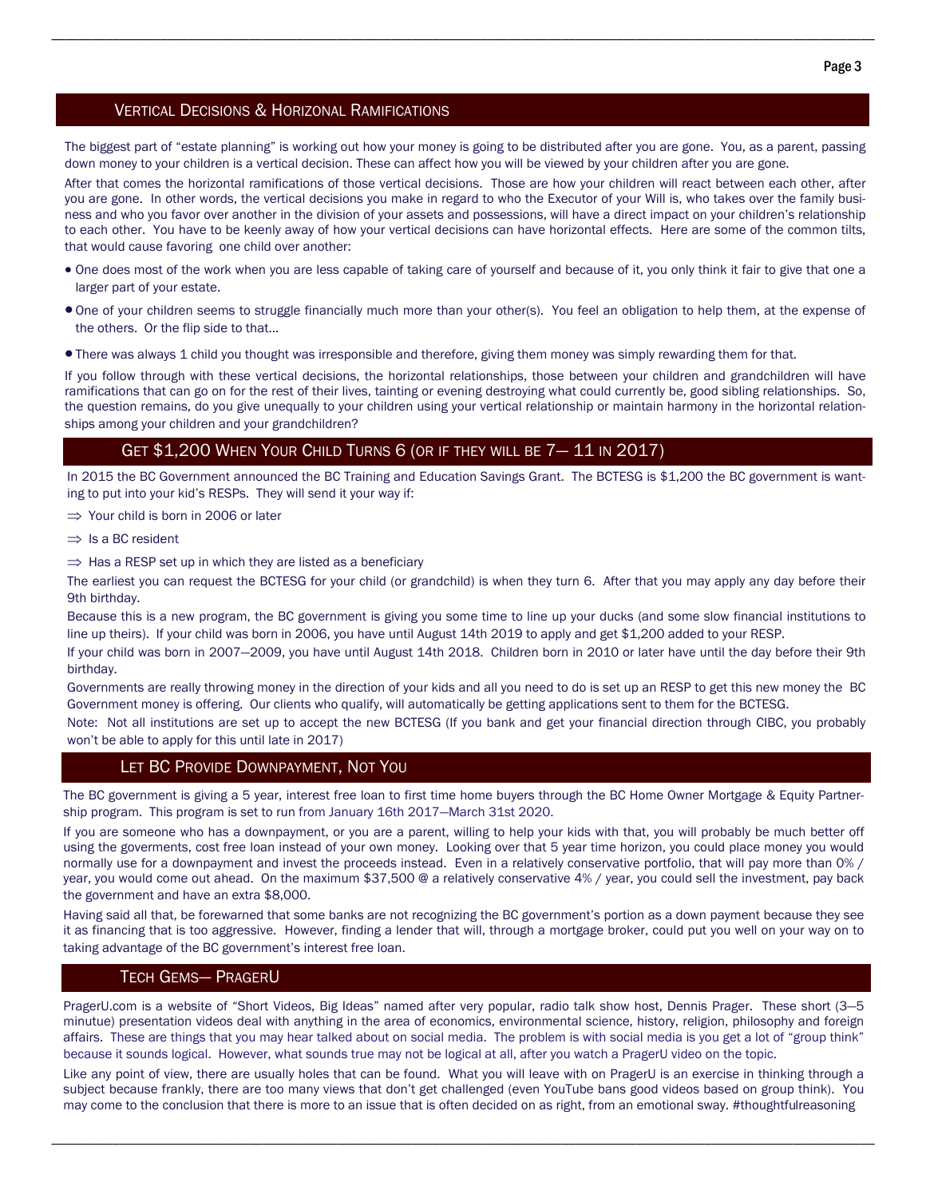#### VERTICAL DECISIONS & HORIZONAL RAMIFICATIONS

The biggest part of "estate planning" is working out how your money is going to be distributed after you are gone. You, as a parent, passing down money to your children is a vertical decision. These can affect how you will be viewed by your children after you are gone.

\_\_\_\_\_\_\_\_\_\_\_\_\_\_\_\_\_\_\_\_\_\_\_\_\_\_\_\_\_\_\_\_\_\_\_\_\_\_\_\_\_\_\_\_\_\_\_\_\_\_\_\_\_\_\_\_\_\_\_\_\_\_\_\_\_\_\_\_\_\_\_\_\_\_\_\_\_\_\_\_\_\_\_\_\_\_\_\_\_\_\_\_\_\_\_\_\_\_\_\_\_\_\_\_\_\_\_\_\_\_\_\_\_\_\_\_\_\_\_\_\_

After that comes the horizontal ramifications of those vertical decisions. Those are how your children will react between each other, after you are gone. In other words, the vertical decisions you make in regard to who the Executor of your Will is, who takes over the family business and who you favor over another in the division of your assets and possessions, will have a direct impact on your children's relationship to each other. You have to be keenly away of how your vertical decisions can have horizontal effects. Here are some of the common tilts, that would cause favoring one child over another:

- One does most of the work when you are less capable of taking care of yourself and because of it, you only think it fair to give that one a larger part of your estate.
- One of your children seems to struggle financially much more than your other(s). You feel an obligation to help them, at the expense of the others. Or the flip side to that…
- There was always 1 child you thought was irresponsible and therefore, giving them money was simply rewarding them for that.

If you follow through with these vertical decisions, the horizontal relationships, those between your children and grandchildren will have ramifications that can go on for the rest of their lives, tainting or evening destroying what could currently be, good sibling relationships. So, the question remains, do you give unequally to your children using your vertical relationship or maintain harmony in the horizontal relationships among your children and your grandchildren?

### GET \$1,200 WHEN YOUR CHILD TURNS 6 (OR IF THEY WILL BE 7— 11 IN 2017)

In 2015 the BC Government announced the BC Training and Education Savings Grant. The BCTESG is \$1,200 the BC government is wanting to put into your kid's RESPs. They will send it your way if:

 $\Rightarrow$  Your child is born in 2006 or later

- $\Rightarrow$  Is a BC resident
- $\Rightarrow$  Has a RESP set up in which they are listed as a beneficiary

The earliest you can request the BCTESG for your child (or grandchild) is when they turn 6. After that you may apply any day before their 9th birthday.

Because this is a new program, the BC government is giving you some time to line up your ducks (and some slow financial institutions to line up theirs). If your child was born in 2006, you have until August 14th 2019 to apply and get \$1,200 added to your RESP.

If your child was born in 2007—2009, you have until August 14th 2018. Children born in 2010 or later have until the day before their 9th birthday.

Governments are really throwing money in the direction of your kids and all you need to do is set up an RESP to get this new money the BC Government money is offering. Our clients who qualify, will automatically be getting applications sent to them for the BCTESG.

Note: Not all institutions are set up to accept the new BCTESG (If you bank and get your financial direction through CIBC, you probably won't be able to apply for this until late in 2017)

#### LET BC PROVIDE DOWNPAYMENT, NOT YOU

The BC government is giving a 5 year, interest free loan to first time home buyers through the BC Home Owner Mortgage & Equity Partnership program. This program is set to run from January 16th 2017—March 31st 2020.

If you are someone who has a downpayment, or you are a parent, willing to help your kids with that, you will probably be much better off using the goverments, cost free loan instead of your own money. Looking over that 5 year time horizon, you could place money you would normally use for a downpayment and invest the proceeds instead. Even in a relatively conservative portfolio, that will pay more than 0% / year, you would come out ahead. On the maximum \$37,500 @ a relatively conservative 4% / year, you could sell the investment, pay back the government and have an extra \$8,000.

Having said all that, be forewarned that some banks are not recognizing the BC government's portion as a down payment because they see it as financing that is too aggressive. However, finding a lender that will, through a mortgage broker, could put you well on your way on to taking advantage of the BC government's interest free loan.

#### TECH GEMS— PRAGERU

PragerU.com is a website of "Short Videos, Big Ideas" named after very popular, radio talk show host, Dennis Prager. These short (3—5 minutue) presentation videos deal with anything in the area of economics, environmental science, history, religion, philosophy and foreign affairs. These are things that you may hear talked about on social media. The problem is with social media is you get a lot of "group think" because it sounds logical. However, what sounds true may not be logical at all, after you watch a PragerU video on the topic.

Like any point of view, there are usually holes that can be found. What you will leave with on PragerU is an exercise in thinking through a subject because frankly, there are too many views that don't get challenged (even YouTube bans good videos based on group think). You may come to the conclusion that there is more to an issue that is often decided on as right, from an emotional sway. #thoughtfulreasoning